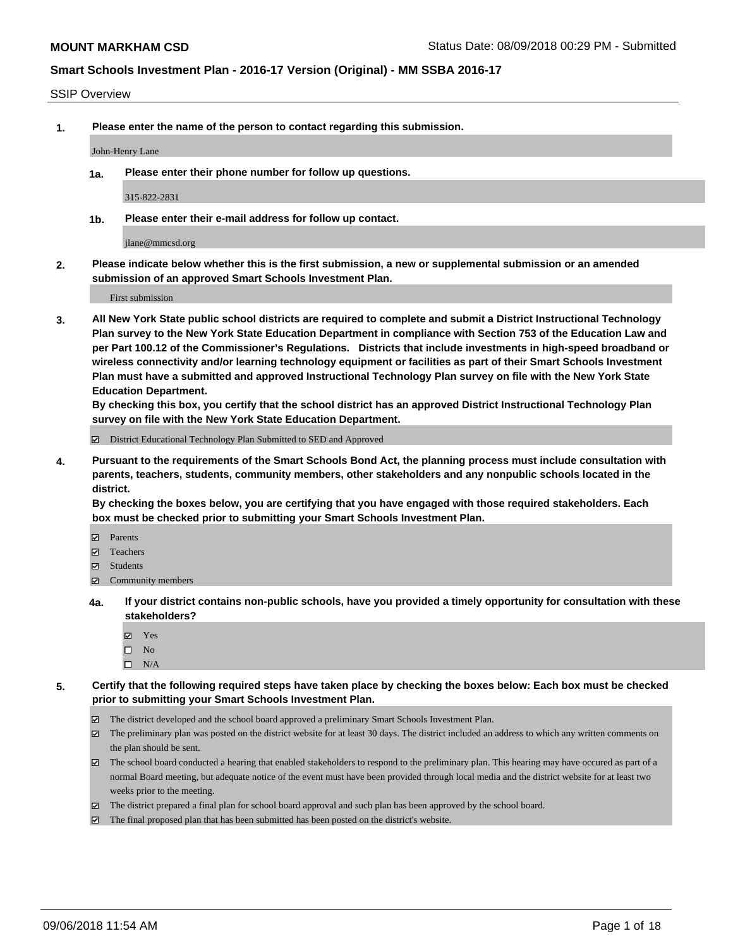#### SSIP Overview

**1. Please enter the name of the person to contact regarding this submission.**

#### John-Henry Lane

**1a. Please enter their phone number for follow up questions.**

315-822-2831

**1b. Please enter their e-mail address for follow up contact.**

jlane@mmcsd.org

**2. Please indicate below whether this is the first submission, a new or supplemental submission or an amended submission of an approved Smart Schools Investment Plan.**

First submission

**3. All New York State public school districts are required to complete and submit a District Instructional Technology Plan survey to the New York State Education Department in compliance with Section 753 of the Education Law and per Part 100.12 of the Commissioner's Regulations. Districts that include investments in high-speed broadband or wireless connectivity and/or learning technology equipment or facilities as part of their Smart Schools Investment Plan must have a submitted and approved Instructional Technology Plan survey on file with the New York State Education Department.** 

**By checking this box, you certify that the school district has an approved District Instructional Technology Plan survey on file with the New York State Education Department.**

District Educational Technology Plan Submitted to SED and Approved

**4. Pursuant to the requirements of the Smart Schools Bond Act, the planning process must include consultation with parents, teachers, students, community members, other stakeholders and any nonpublic schools located in the district.** 

**By checking the boxes below, you are certifying that you have engaged with those required stakeholders. Each box must be checked prior to submitting your Smart Schools Investment Plan.**

- **Parents**
- Teachers
- **☑** Students
- **☑** Community members
- **4a. If your district contains non-public schools, have you provided a timely opportunity for consultation with these stakeholders?**
	- **Ø** Yes
	- $\square$  No
	- $\square$  N/A
- **5. Certify that the following required steps have taken place by checking the boxes below: Each box must be checked prior to submitting your Smart Schools Investment Plan.**
	- The district developed and the school board approved a preliminary Smart Schools Investment Plan.
	- $\boxtimes$  The preliminary plan was posted on the district website for at least 30 days. The district included an address to which any written comments on the plan should be sent.
	- The school board conducted a hearing that enabled stakeholders to respond to the preliminary plan. This hearing may have occured as part of a normal Board meeting, but adequate notice of the event must have been provided through local media and the district website for at least two weeks prior to the meeting.
	- The district prepared a final plan for school board approval and such plan has been approved by the school board.
	- The final proposed plan that has been submitted has been posted on the district's website.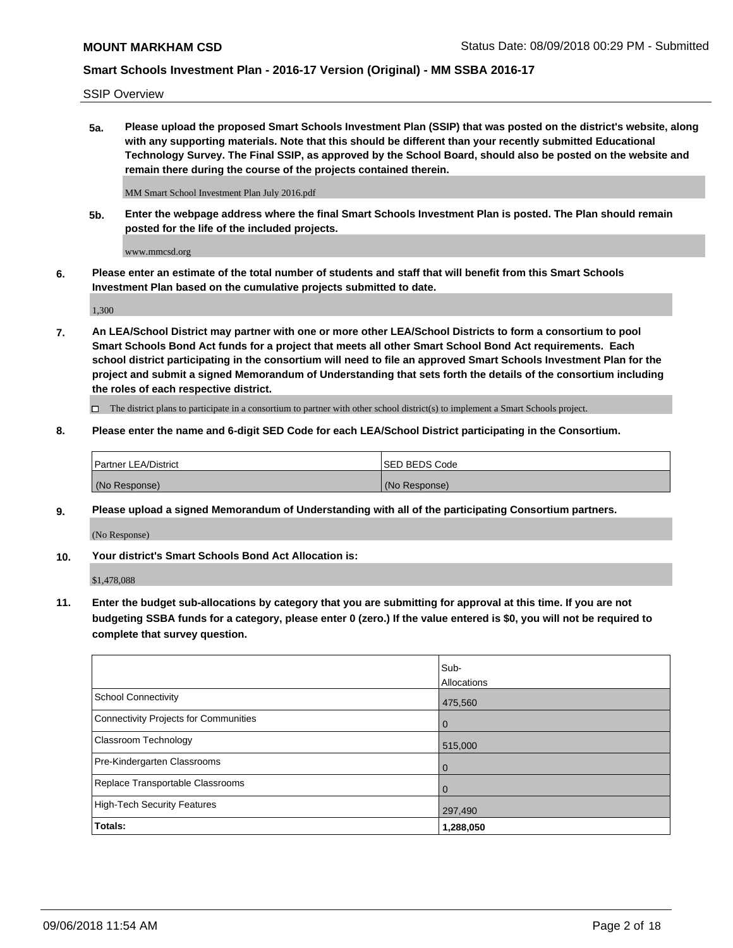SSIP Overview

**5a. Please upload the proposed Smart Schools Investment Plan (SSIP) that was posted on the district's website, along with any supporting materials. Note that this should be different than your recently submitted Educational Technology Survey. The Final SSIP, as approved by the School Board, should also be posted on the website and remain there during the course of the projects contained therein.**

MM Smart School Investment Plan July 2016.pdf

**5b. Enter the webpage address where the final Smart Schools Investment Plan is posted. The Plan should remain posted for the life of the included projects.**

www.mmcsd.org

**6. Please enter an estimate of the total number of students and staff that will benefit from this Smart Schools Investment Plan based on the cumulative projects submitted to date.**

1,300

**7. An LEA/School District may partner with one or more other LEA/School Districts to form a consortium to pool Smart Schools Bond Act funds for a project that meets all other Smart School Bond Act requirements. Each school district participating in the consortium will need to file an approved Smart Schools Investment Plan for the project and submit a signed Memorandum of Understanding that sets forth the details of the consortium including the roles of each respective district.**

 $\Box$  The district plans to participate in a consortium to partner with other school district(s) to implement a Smart Schools project.

### **8. Please enter the name and 6-digit SED Code for each LEA/School District participating in the Consortium.**

| Partner LEA/District | <b>ISED BEDS Code</b> |
|----------------------|-----------------------|
| (No Response)        | (No Response)         |

### **9. Please upload a signed Memorandum of Understanding with all of the participating Consortium partners.**

(No Response)

**10. Your district's Smart Schools Bond Act Allocation is:**

\$1,478,088

**11. Enter the budget sub-allocations by category that you are submitting for approval at this time. If you are not budgeting SSBA funds for a category, please enter 0 (zero.) If the value entered is \$0, you will not be required to complete that survey question.**

|                                       | Sub-           |
|---------------------------------------|----------------|
|                                       | Allocations    |
| <b>School Connectivity</b>            | 475,560        |
| Connectivity Projects for Communities | $\overline{0}$ |
| <b>Classroom Technology</b>           | 515,000        |
| Pre-Kindergarten Classrooms           | $\mathbf 0$    |
| Replace Transportable Classrooms      | 0              |
| High-Tech Security Features           | 297,490        |
| Totals:                               | 1,288,050      |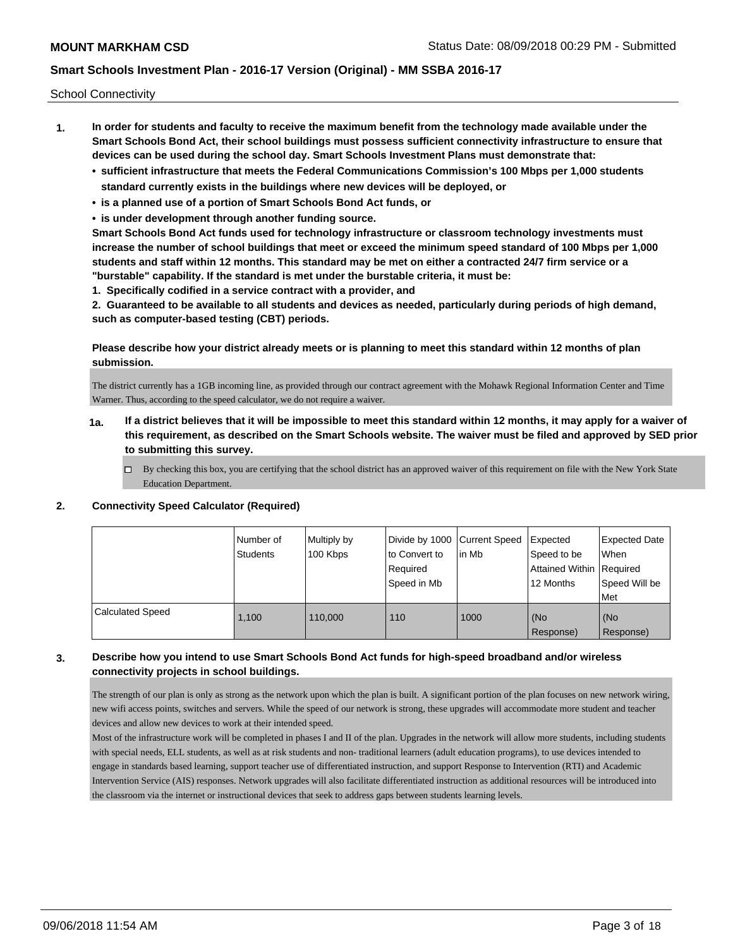School Connectivity

- **1. In order for students and faculty to receive the maximum benefit from the technology made available under the Smart Schools Bond Act, their school buildings must possess sufficient connectivity infrastructure to ensure that devices can be used during the school day. Smart Schools Investment Plans must demonstrate that:**
	- **• sufficient infrastructure that meets the Federal Communications Commission's 100 Mbps per 1,000 students standard currently exists in the buildings where new devices will be deployed, or**
	- **• is a planned use of a portion of Smart Schools Bond Act funds, or**
	- **• is under development through another funding source.**

**Smart Schools Bond Act funds used for technology infrastructure or classroom technology investments must increase the number of school buildings that meet or exceed the minimum speed standard of 100 Mbps per 1,000 students and staff within 12 months. This standard may be met on either a contracted 24/7 firm service or a "burstable" capability. If the standard is met under the burstable criteria, it must be:**

**1. Specifically codified in a service contract with a provider, and**

**2. Guaranteed to be available to all students and devices as needed, particularly during periods of high demand, such as computer-based testing (CBT) periods.**

## **Please describe how your district already meets or is planning to meet this standard within 12 months of plan submission.**

The district currently has a 1GB incoming line, as provided through our contract agreement with the Mohawk Regional Information Center and Time Warner. Thus, according to the speed calculator, we do not require a waiver.

- **1a. If a district believes that it will be impossible to meet this standard within 12 months, it may apply for a waiver of this requirement, as described on the Smart Schools website. The waiver must be filed and approved by SED prior to submitting this survey.**
	- $\Box$  By checking this box, you are certifying that the school district has an approved waiver of this requirement on file with the New York State Education Department.

### **2. Connectivity Speed Calculator (Required)**

|                         | Number of<br><b>Students</b> | Multiply by<br>100 Kbps | Divide by 1000 Current Speed<br>to Convert to<br>Required<br>Speed in Mb | lin Mb | Expected<br>Speed to be<br>Attained Within   Required<br>12 Months | <b>Expected Date</b><br>When<br>Speed Will be<br>Met |
|-------------------------|------------------------------|-------------------------|--------------------------------------------------------------------------|--------|--------------------------------------------------------------------|------------------------------------------------------|
| <b>Calculated Speed</b> | 1.100                        | 110,000                 | 110                                                                      | 1000   | (No<br>Response)                                                   | (No<br>Response)                                     |

## **3. Describe how you intend to use Smart Schools Bond Act funds for high-speed broadband and/or wireless connectivity projects in school buildings.**

The strength of our plan is only as strong as the network upon which the plan is built. A significant portion of the plan focuses on new network wiring, new wifi access points, switches and servers. While the speed of our network is strong, these upgrades will accommodate more student and teacher devices and allow new devices to work at their intended speed.

Most of the infrastructure work will be completed in phases I and II of the plan. Upgrades in the network will allow more students, including students with special needs, ELL students, as well as at risk students and non- traditional learners (adult education programs), to use devices intended to engage in standards based learning, support teacher use of differentiated instruction, and support Response to Intervention (RTI) and Academic Intervention Service (AIS) responses. Network upgrades will also facilitate differentiated instruction as additional resources will be introduced into the classroom via the internet or instructional devices that seek to address gaps between students learning levels.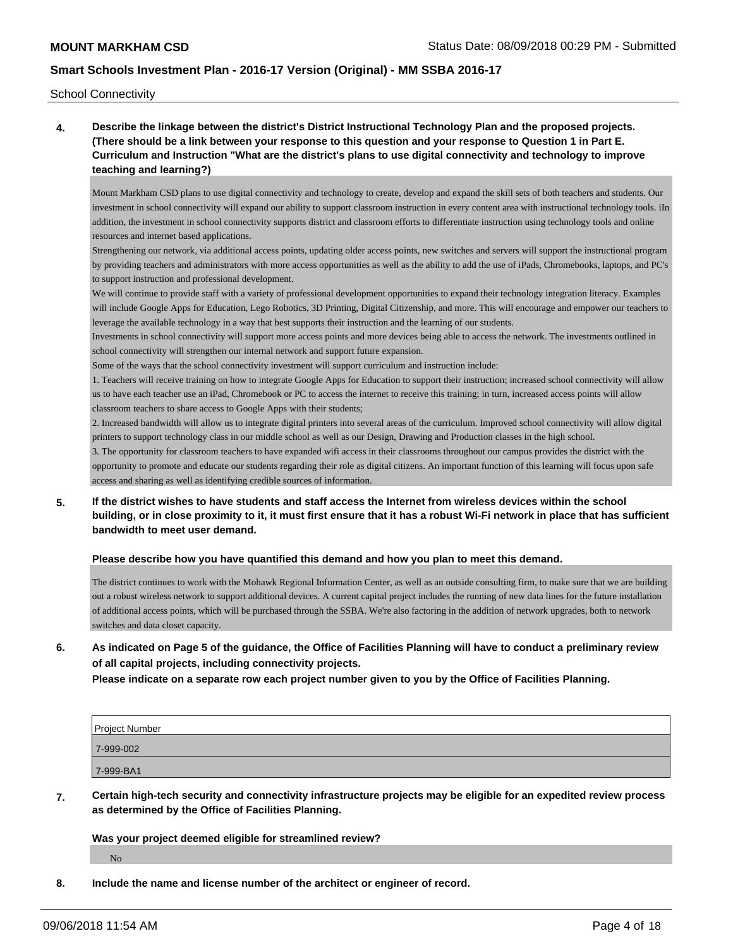School Connectivity

**4. Describe the linkage between the district's District Instructional Technology Plan and the proposed projects. (There should be a link between your response to this question and your response to Question 1 in Part E. Curriculum and Instruction "What are the district's plans to use digital connectivity and technology to improve teaching and learning?)**

Mount Markham CSD plans to use digital connectivity and technology to create, develop and expand the skill sets of both teachers and students. Our investment in school connectivity will expand our ability to support classroom instruction in every content area with instructional technology tools. iIn addition, the investment in school connectivity supports district and classroom efforts to differentiate instruction using technology tools and online resources and internet based applications.

Strengthening our network, via additional access points, updating older access points, new switches and servers will support the instructional program by providing teachers and administrators with more access opportunities as well as the ability to add the use of iPads, Chromebooks, laptops, and PC's to support instruction and professional development.

We will continue to provide staff with a variety of professional development opportunities to expand their technology integration literacy. Examples will include Google Apps for Education, Lego Robotics, 3D Printing, Digital Citizenship, and more. This will encourage and empower our teachers to leverage the available technology in a way that best supports their instruction and the learning of our students.

Investments in school connectivity will support more access points and more devices being able to access the network. The investments outlined in school connectivity will strengthen our internal network and support future expansion.

Some of the ways that the school connectivity investment will support curriculum and instruction include:

1. Teachers will receive training on how to integrate Google Apps for Education to support their instruction; increased school connectivity will allow us to have each teacher use an iPad, Chromebook or PC to access the internet to receive this training; in turn, increased access points will allow classroom teachers to share access to Google Apps with their students;

2. Increased bandwidth will allow us to integrate digital printers into several areas of the curriculum. Improved school connectivity will allow digital printers to support technology class in our middle school as well as our Design, Drawing and Production classes in the high school.

3. The opportunity for classroom teachers to have expanded wifi access in their classrooms throughout our campus provides the district with the opportunity to promote and educate our students regarding their role as digital citizens. An important function of this learning will focus upon safe access and sharing as well as identifying credible sources of information.

**5. If the district wishes to have students and staff access the Internet from wireless devices within the school building, or in close proximity to it, it must first ensure that it has a robust Wi-Fi network in place that has sufficient bandwidth to meet user demand.**

#### **Please describe how you have quantified this demand and how you plan to meet this demand.**

The district continues to work with the Mohawk Regional Information Center, as well as an outside consulting firm, to make sure that we are building out a robust wireless network to support additional devices. A current capital project includes the running of new data lines for the future installation of additional access points, which will be purchased through the SSBA. We're also factoring in the addition of network upgrades, both to network switches and data closet capacity.

**6. As indicated on Page 5 of the guidance, the Office of Facilities Planning will have to conduct a preliminary review of all capital projects, including connectivity projects.**

**Please indicate on a separate row each project number given to you by the Office of Facilities Planning.**

| Project Number |  |
|----------------|--|
| 7-999-002      |  |
| 7-999-BA1      |  |

**7. Certain high-tech security and connectivity infrastructure projects may be eligible for an expedited review process as determined by the Office of Facilities Planning.**

**Was your project deemed eligible for streamlined review?**

No

**8. Include the name and license number of the architect or engineer of record.**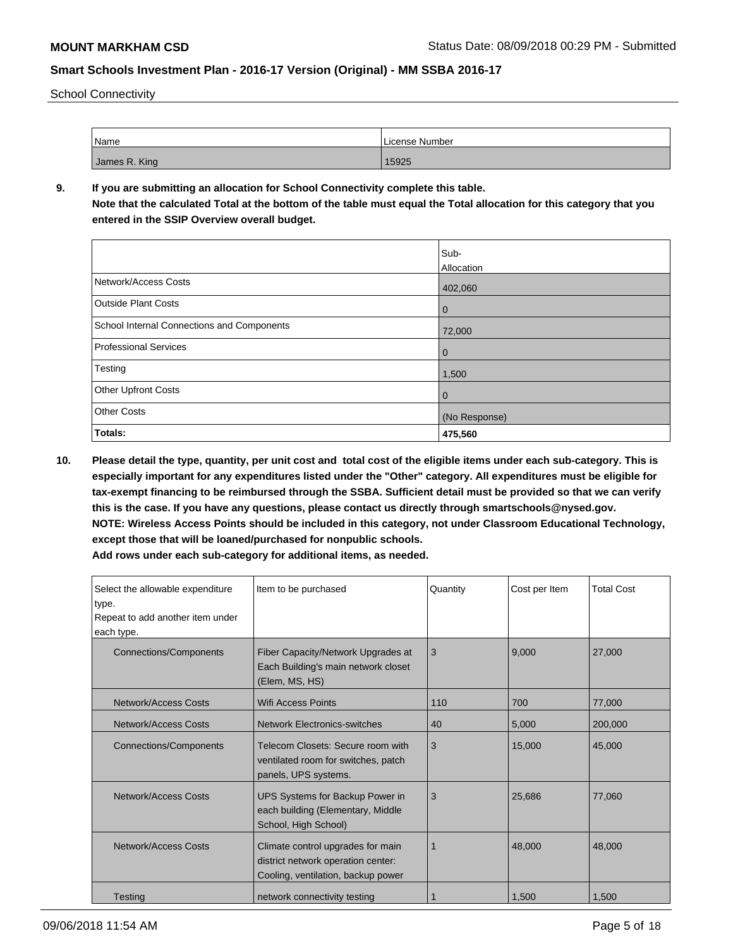School Connectivity

| Name          | License Number |
|---------------|----------------|
| James R. King | 15925          |

## **9. If you are submitting an allocation for School Connectivity complete this table.**

**Note that the calculated Total at the bottom of the table must equal the Total allocation for this category that you entered in the SSIP Overview overall budget.** 

|                                            | Sub-          |
|--------------------------------------------|---------------|
|                                            | Allocation    |
| Network/Access Costs                       | 402,060       |
| <b>Outside Plant Costs</b>                 | $\mathbf 0$   |
| School Internal Connections and Components | 72,000        |
| Professional Services                      | $\mathbf 0$   |
| Testing                                    | 1,500         |
| <b>Other Upfront Costs</b>                 | $\mathbf 0$   |
| <b>Other Costs</b>                         | (No Response) |
| Totals:                                    | 475,560       |

**10. Please detail the type, quantity, per unit cost and total cost of the eligible items under each sub-category. This is especially important for any expenditures listed under the "Other" category. All expenditures must be eligible for tax-exempt financing to be reimbursed through the SSBA. Sufficient detail must be provided so that we can verify this is the case. If you have any questions, please contact us directly through smartschools@nysed.gov. NOTE: Wireless Access Points should be included in this category, not under Classroom Educational Technology, except those that will be loaned/purchased for nonpublic schools.**

| Select the allowable expenditure<br>type.<br>Repeat to add another item under<br>each type. | Item to be purchased                                                                                          | Quantity | Cost per Item | <b>Total Cost</b> |
|---------------------------------------------------------------------------------------------|---------------------------------------------------------------------------------------------------------------|----------|---------------|-------------------|
| <b>Connections/Components</b>                                                               | Fiber Capacity/Network Upgrades at<br>Each Building's main network closet<br>(Elem, MS, HS)                   | 3        | 9,000         | 27,000            |
| <b>Network/Access Costs</b>                                                                 | Wifi Access Points                                                                                            | 110      | 700           | 77,000            |
| Network/Access Costs                                                                        | <b>Network Electronics-switches</b>                                                                           | 40       | 5,000         | 200,000           |
| <b>Connections/Components</b>                                                               | Telecom Closets: Secure room with<br>ventilated room for switches, patch<br>panels, UPS systems.              | 3        | 15,000        | 45,000            |
| Network/Access Costs                                                                        | UPS Systems for Backup Power in<br>each building (Elementary, Middle<br>School, High School)                  | 3        | 25.686        | 77.060            |
| Network/Access Costs                                                                        | Climate control upgrades for main<br>district network operation center:<br>Cooling, ventilation, backup power |          | 48,000        | 48,000            |
| Testing                                                                                     | network connectivity testing                                                                                  |          | 1,500         | 1,500             |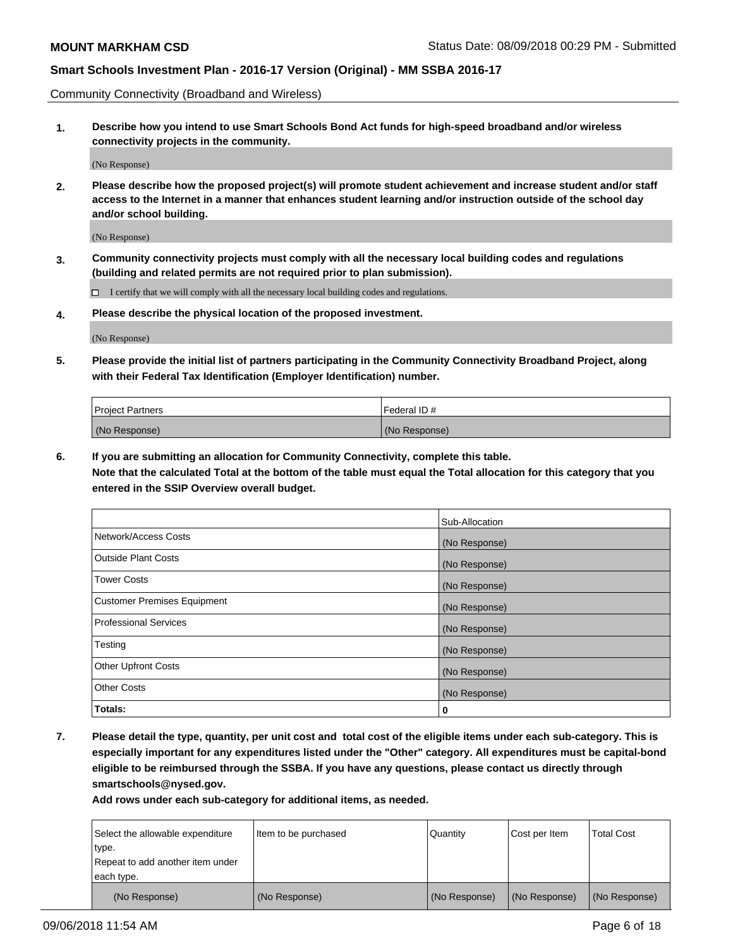Community Connectivity (Broadband and Wireless)

**1. Describe how you intend to use Smart Schools Bond Act funds for high-speed broadband and/or wireless connectivity projects in the community.**

(No Response)

**2. Please describe how the proposed project(s) will promote student achievement and increase student and/or staff access to the Internet in a manner that enhances student learning and/or instruction outside of the school day and/or school building.**

(No Response)

**3. Community connectivity projects must comply with all the necessary local building codes and regulations (building and related permits are not required prior to plan submission).**

 $\Box$  I certify that we will comply with all the necessary local building codes and regulations.

**4. Please describe the physical location of the proposed investment.**

(No Response)

**5. Please provide the initial list of partners participating in the Community Connectivity Broadband Project, along with their Federal Tax Identification (Employer Identification) number.**

| <b>Project Partners</b> | Federal ID#   |
|-------------------------|---------------|
| (No Response)           | (No Response) |

**6. If you are submitting an allocation for Community Connectivity, complete this table.**

**Note that the calculated Total at the bottom of the table must equal the Total allocation for this category that you entered in the SSIP Overview overall budget.**

|                                    | Sub-Allocation |
|------------------------------------|----------------|
| Network/Access Costs               | (No Response)  |
| <b>Outside Plant Costs</b>         | (No Response)  |
| <b>Tower Costs</b>                 | (No Response)  |
| <b>Customer Premises Equipment</b> | (No Response)  |
| <b>Professional Services</b>       | (No Response)  |
| Testing                            | (No Response)  |
| <b>Other Upfront Costs</b>         | (No Response)  |
| <b>Other Costs</b>                 | (No Response)  |
| Totals:                            | 0              |

**7. Please detail the type, quantity, per unit cost and total cost of the eligible items under each sub-category. This is especially important for any expenditures listed under the "Other" category. All expenditures must be capital-bond eligible to be reimbursed through the SSBA. If you have any questions, please contact us directly through smartschools@nysed.gov.**

| Select the allowable expenditure | Item to be purchased | Quantity      | Cost per Item | <b>Total Cost</b> |
|----------------------------------|----------------------|---------------|---------------|-------------------|
| type.                            |                      |               |               |                   |
| Repeat to add another item under |                      |               |               |                   |
| each type.                       |                      |               |               |                   |
| (No Response)                    | (No Response)        | (No Response) | (No Response) | (No Response)     |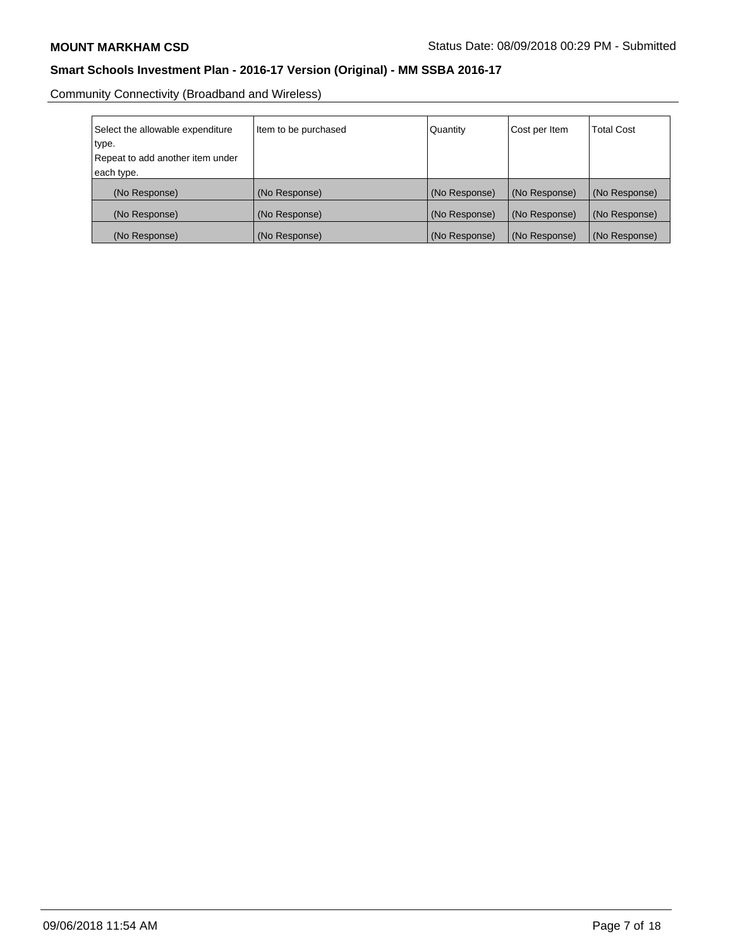Community Connectivity (Broadband and Wireless)

| Select the allowable expenditure | Item to be purchased | Quantity      | Cost per Item | <b>Total Cost</b> |
|----------------------------------|----------------------|---------------|---------------|-------------------|
| type.                            |                      |               |               |                   |
| Repeat to add another item under |                      |               |               |                   |
| each type.                       |                      |               |               |                   |
| (No Response)                    | (No Response)        | (No Response) | (No Response) | (No Response)     |
| (No Response)                    | (No Response)        | (No Response) | (No Response) | (No Response)     |
| (No Response)                    | (No Response)        | (No Response) | (No Response) | (No Response)     |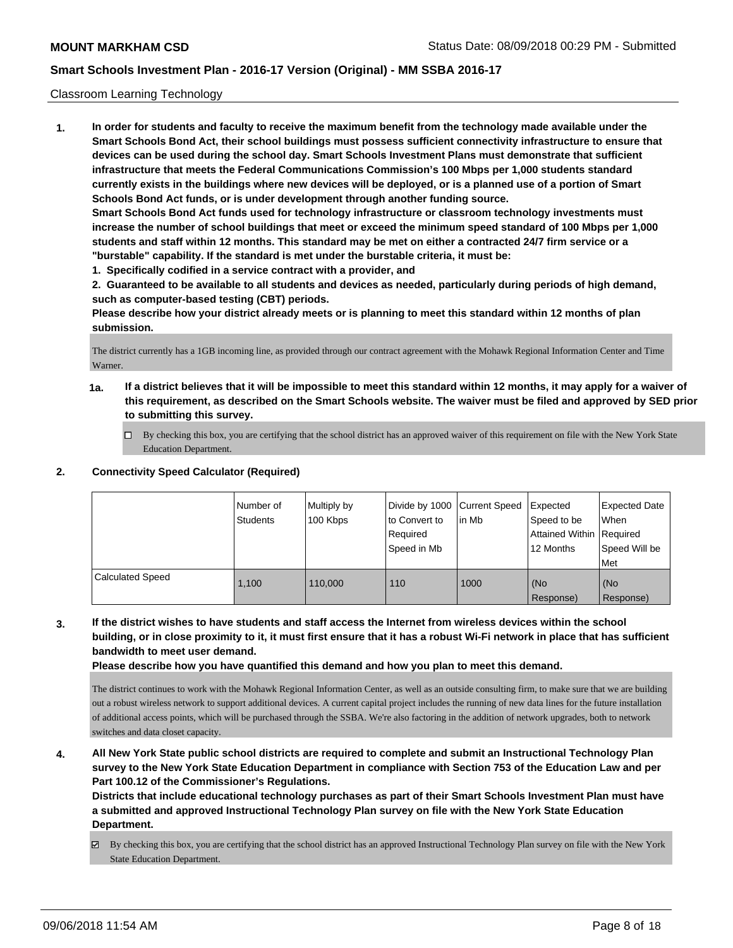### Classroom Learning Technology

**1. In order for students and faculty to receive the maximum benefit from the technology made available under the Smart Schools Bond Act, their school buildings must possess sufficient connectivity infrastructure to ensure that devices can be used during the school day. Smart Schools Investment Plans must demonstrate that sufficient infrastructure that meets the Federal Communications Commission's 100 Mbps per 1,000 students standard currently exists in the buildings where new devices will be deployed, or is a planned use of a portion of Smart Schools Bond Act funds, or is under development through another funding source. Smart Schools Bond Act funds used for technology infrastructure or classroom technology investments must increase the number of school buildings that meet or exceed the minimum speed standard of 100 Mbps per 1,000 students and staff within 12 months. This standard may be met on either a contracted 24/7 firm service or a**

- **"burstable" capability. If the standard is met under the burstable criteria, it must be:**
- **1. Specifically codified in a service contract with a provider, and**

**2. Guaranteed to be available to all students and devices as needed, particularly during periods of high demand, such as computer-based testing (CBT) periods.**

**Please describe how your district already meets or is planning to meet this standard within 12 months of plan submission.**

The district currently has a 1GB incoming line, as provided through our contract agreement with the Mohawk Regional Information Center and Time Warner.

- **1a. If a district believes that it will be impossible to meet this standard within 12 months, it may apply for a waiver of this requirement, as described on the Smart Schools website. The waiver must be filed and approved by SED prior to submitting this survey.**
	- By checking this box, you are certifying that the school district has an approved waiver of this requirement on file with the New York State Education Department.

### **2. Connectivity Speed Calculator (Required)**

|                         | l Number of<br>Students | Multiply by<br>100 Kbps | Divide by 1000   Current Speed<br>to Convert to<br>Required<br>Speed in Mb | l in Mb | Expected<br>Speed to be<br>Attained Within Required<br>12 Months | Expected Date<br>When<br>Speed Will be<br>Met |
|-------------------------|-------------------------|-------------------------|----------------------------------------------------------------------------|---------|------------------------------------------------------------------|-----------------------------------------------|
| <b>Calculated Speed</b> | 1.100                   | 110,000                 | 110                                                                        | 1000    | (No<br>Response)                                                 | (No<br>Response)                              |

**3. If the district wishes to have students and staff access the Internet from wireless devices within the school building, or in close proximity to it, it must first ensure that it has a robust Wi-Fi network in place that has sufficient bandwidth to meet user demand.**

**Please describe how you have quantified this demand and how you plan to meet this demand.**

The district continues to work with the Mohawk Regional Information Center, as well as an outside consulting firm, to make sure that we are building out a robust wireless network to support additional devices. A current capital project includes the running of new data lines for the future installation of additional access points, which will be purchased through the SSBA. We're also factoring in the addition of network upgrades, both to network switches and data closet capacity.

**4. All New York State public school districts are required to complete and submit an Instructional Technology Plan survey to the New York State Education Department in compliance with Section 753 of the Education Law and per Part 100.12 of the Commissioner's Regulations.**

**Districts that include educational technology purchases as part of their Smart Schools Investment Plan must have a submitted and approved Instructional Technology Plan survey on file with the New York State Education Department.**

By checking this box, you are certifying that the school district has an approved Instructional Technology Plan survey on file with the New York State Education Department.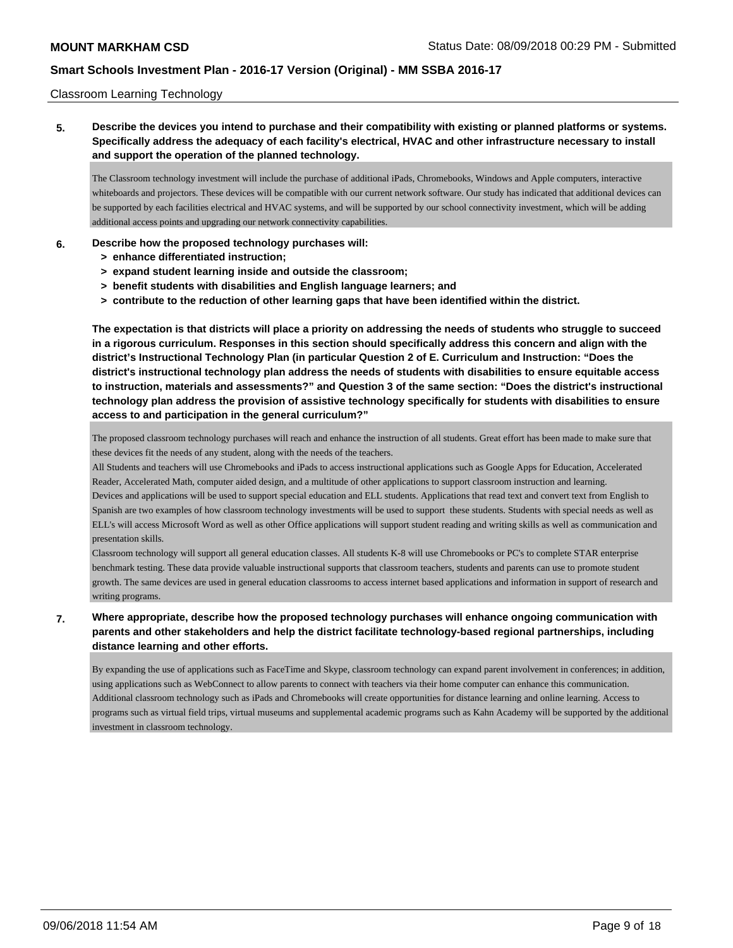### Classroom Learning Technology

## **5. Describe the devices you intend to purchase and their compatibility with existing or planned platforms or systems. Specifically address the adequacy of each facility's electrical, HVAC and other infrastructure necessary to install and support the operation of the planned technology.**

The Classroom technology investment will include the purchase of additional iPads, Chromebooks, Windows and Apple computers, interactive whiteboards and projectors. These devices will be compatible with our current network software. Our study has indicated that additional devices can be supported by each facilities electrical and HVAC systems, and will be supported by our school connectivity investment, which will be adding additional access points and upgrading our network connectivity capabilities.

### **6. Describe how the proposed technology purchases will:**

- **> enhance differentiated instruction;**
- **> expand student learning inside and outside the classroom;**
- **> benefit students with disabilities and English language learners; and**
- **> contribute to the reduction of other learning gaps that have been identified within the district.**

**The expectation is that districts will place a priority on addressing the needs of students who struggle to succeed in a rigorous curriculum. Responses in this section should specifically address this concern and align with the district's Instructional Technology Plan (in particular Question 2 of E. Curriculum and Instruction: "Does the district's instructional technology plan address the needs of students with disabilities to ensure equitable access to instruction, materials and assessments?" and Question 3 of the same section: "Does the district's instructional technology plan address the provision of assistive technology specifically for students with disabilities to ensure access to and participation in the general curriculum?"**

The proposed classroom technology purchases will reach and enhance the instruction of all students. Great effort has been made to make sure that these devices fit the needs of any student, along with the needs of the teachers.

All Students and teachers will use Chromebooks and iPads to access instructional applications such as Google Apps for Education, Accelerated Reader, Accelerated Math, computer aided design, and a multitude of other applications to support classroom instruction and learning.

Devices and applications will be used to support special education and ELL students. Applications that read text and convert text from English to Spanish are two examples of how classroom technology investments will be used to support these students. Students with special needs as well as ELL's will access Microsoft Word as well as other Office applications will support student reading and writing skills as well as communication and presentation skills.

Classroom technology will support all general education classes. All students K-8 will use Chromebooks or PC's to complete STAR enterprise benchmark testing. These data provide valuable instructional supports that classroom teachers, students and parents can use to promote student growth. The same devices are used in general education classrooms to access internet based applications and information in support of research and writing programs.

## **7. Where appropriate, describe how the proposed technology purchases will enhance ongoing communication with parents and other stakeholders and help the district facilitate technology-based regional partnerships, including distance learning and other efforts.**

By expanding the use of applications such as FaceTime and Skype, classroom technology can expand parent involvement in conferences; in addition, using applications such as WebConnect to allow parents to connect with teachers via their home computer can enhance this communication. Additional classroom technology such as iPads and Chromebooks will create opportunities for distance learning and online learning. Access to programs such as virtual field trips, virtual museums and supplemental academic programs such as Kahn Academy will be supported by the additional investment in classroom technology.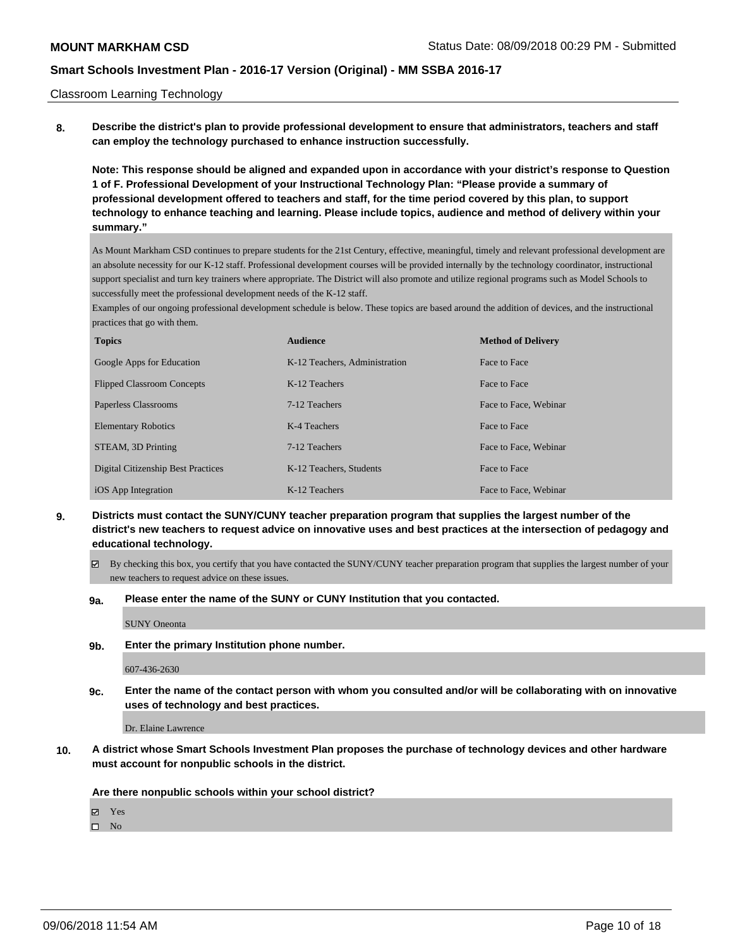#### Classroom Learning Technology

**8. Describe the district's plan to provide professional development to ensure that administrators, teachers and staff can employ the technology purchased to enhance instruction successfully.**

**Note: This response should be aligned and expanded upon in accordance with your district's response to Question 1 of F. Professional Development of your Instructional Technology Plan: "Please provide a summary of professional development offered to teachers and staff, for the time period covered by this plan, to support technology to enhance teaching and learning. Please include topics, audience and method of delivery within your summary."**

As Mount Markham CSD continues to prepare students for the 21st Century, effective, meaningful, timely and relevant professional development are an absolute necessity for our K-12 staff. Professional development courses will be provided internally by the technology coordinator, instructional support specialist and turn key trainers where appropriate. The District will also promote and utilize regional programs such as Model Schools to successfully meet the professional development needs of the K-12 staff.

Examples of our ongoing professional development schedule is below. These topics are based around the addition of devices, and the instructional practices that go with them.

| <b>Topics</b>                             | <b>Audience</b>               | <b>Method of Delivery</b> |
|-------------------------------------------|-------------------------------|---------------------------|
| Google Apps for Education                 | K-12 Teachers, Administration | Face to Face              |
| <b>Flipped Classroom Concepts</b>         | K-12 Teachers                 | Face to Face              |
| Paperless Classrooms                      | 7-12 Teachers                 | Face to Face, Webinar     |
| <b>Elementary Robotics</b>                | K-4 Teachers                  | Face to Face              |
| STEAM, 3D Printing                        | 7-12 Teachers                 | Face to Face, Webinar     |
| <b>Digital Citizenship Best Practices</b> | K-12 Teachers, Students       | Face to Face              |
| iOS App Integration                       | K-12 Teachers                 | Face to Face, Webinar     |

**9. Districts must contact the SUNY/CUNY teacher preparation program that supplies the largest number of the district's new teachers to request advice on innovative uses and best practices at the intersection of pedagogy and educational technology.**

 $\boxtimes$  By checking this box, you certify that you have contacted the SUNY/CUNY teacher preparation program that supplies the largest number of your new teachers to request advice on these issues.

#### **9a. Please enter the name of the SUNY or CUNY Institution that you contacted.**

SUNY Oneonta

#### **9b. Enter the primary Institution phone number.**

607-436-2630

**9c. Enter the name of the contact person with whom you consulted and/or will be collaborating with on innovative uses of technology and best practices.**

Dr. Elaine Lawrence

**10. A district whose Smart Schools Investment Plan proposes the purchase of technology devices and other hardware must account for nonpublic schools in the district.**

**Are there nonpublic schools within your school district?**

Yes

 $\square$  No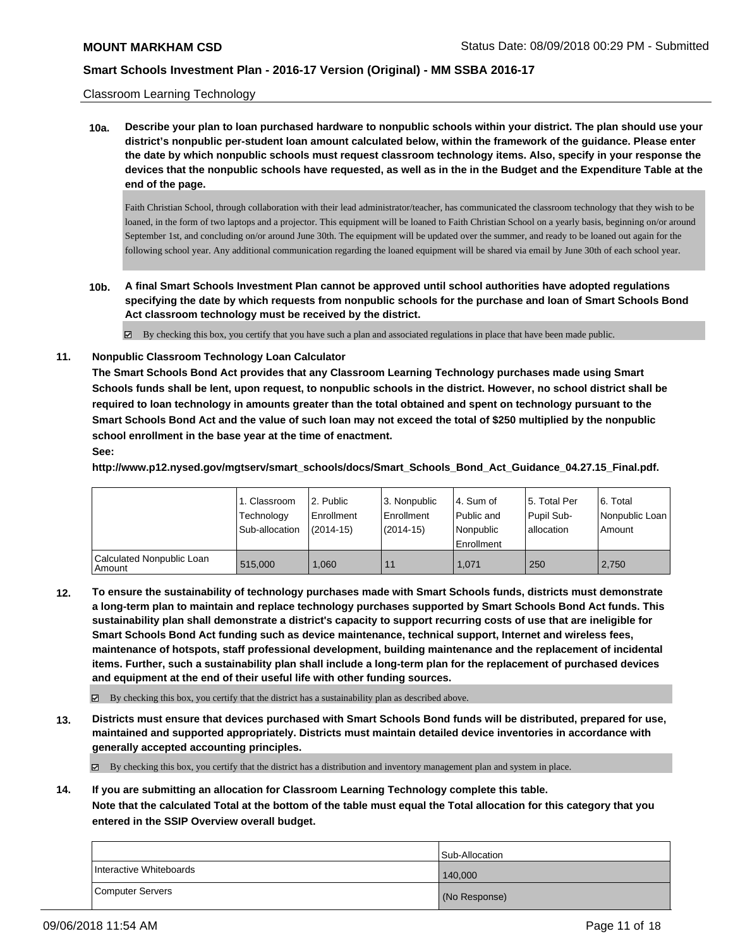### Classroom Learning Technology

**10a. Describe your plan to loan purchased hardware to nonpublic schools within your district. The plan should use your district's nonpublic per-student loan amount calculated below, within the framework of the guidance. Please enter the date by which nonpublic schools must request classroom technology items. Also, specify in your response the devices that the nonpublic schools have requested, as well as in the in the Budget and the Expenditure Table at the end of the page.**

Faith Christian School, through collaboration with their lead administrator/teacher, has communicated the classroom technology that they wish to be loaned, in the form of two laptops and a projector. This equipment will be loaned to Faith Christian School on a yearly basis, beginning on/or around September 1st, and concluding on/or around June 30th. The equipment will be updated over the summer, and ready to be loaned out again for the following school year. Any additional communication regarding the loaned equipment will be shared via email by June 30th of each school year.

**10b. A final Smart Schools Investment Plan cannot be approved until school authorities have adopted regulations specifying the date by which requests from nonpublic schools for the purchase and loan of Smart Schools Bond Act classroom technology must be received by the district.**

By checking this box, you certify that you have such a plan and associated regulations in place that have been made public.

**11. Nonpublic Classroom Technology Loan Calculator**

**The Smart Schools Bond Act provides that any Classroom Learning Technology purchases made using Smart Schools funds shall be lent, upon request, to nonpublic schools in the district. However, no school district shall be required to loan technology in amounts greater than the total obtained and spent on technology pursuant to the Smart Schools Bond Act and the value of such loan may not exceed the total of \$250 multiplied by the nonpublic school enrollment in the base year at the time of enactment.**

## **See:**

**http://www.p12.nysed.gov/mgtserv/smart\_schools/docs/Smart\_Schools\_Bond\_Act\_Guidance\_04.27.15\_Final.pdf.**

|                                       | 1. Classroom<br>Technology<br>Sub-allocation | l 2. Public<br>l Enrollment<br>$(2014 - 15)$ | l 3. Nonpublic<br>Enrollment<br>$(2014-15)$ | 4. Sum of<br>Public and<br>l Nonpublic | 15. Total Per<br>Pupil Sub-<br>allocation | l 6. Total<br>Nonpublic Loan<br>Amount |
|---------------------------------------|----------------------------------------------|----------------------------------------------|---------------------------------------------|----------------------------------------|-------------------------------------------|----------------------------------------|
|                                       |                                              |                                              |                                             | Enrollment                             |                                           |                                        |
| Calculated Nonpublic Loan<br>l Amount | 515,000                                      | 1.060                                        | 11                                          | 1.071                                  | 250                                       | 2.750                                  |

**12. To ensure the sustainability of technology purchases made with Smart Schools funds, districts must demonstrate a long-term plan to maintain and replace technology purchases supported by Smart Schools Bond Act funds. This sustainability plan shall demonstrate a district's capacity to support recurring costs of use that are ineligible for Smart Schools Bond Act funding such as device maintenance, technical support, Internet and wireless fees, maintenance of hotspots, staff professional development, building maintenance and the replacement of incidental items. Further, such a sustainability plan shall include a long-term plan for the replacement of purchased devices and equipment at the end of their useful life with other funding sources.**

By checking this box, you certify that the district has a sustainability plan as described above.

**13. Districts must ensure that devices purchased with Smart Schools Bond funds will be distributed, prepared for use, maintained and supported appropriately. Districts must maintain detailed device inventories in accordance with generally accepted accounting principles.**

By checking this box, you certify that the district has a distribution and inventory management plan and system in place.

**14. If you are submitting an allocation for Classroom Learning Technology complete this table.**

**Note that the calculated Total at the bottom of the table must equal the Total allocation for this category that you entered in the SSIP Overview overall budget.**

|                         | Sub-Allocation |
|-------------------------|----------------|
| Interactive Whiteboards | 140,000        |
| Computer Servers        | (No Response)  |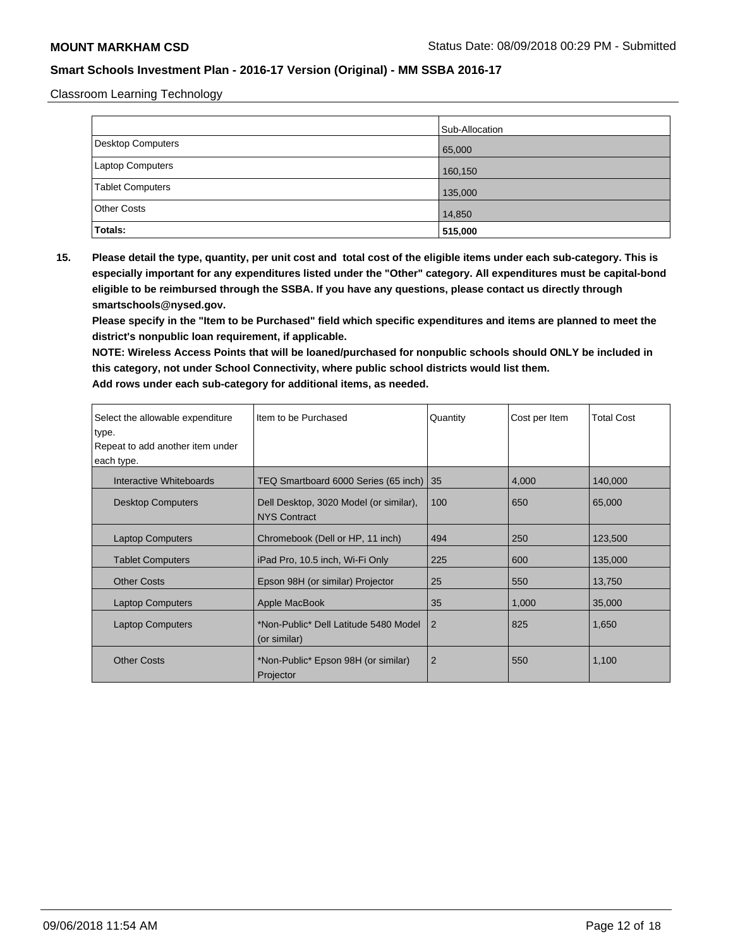Classroom Learning Technology

|                    | Sub-Allocation |
|--------------------|----------------|
| Desktop Computers  | 65,000         |
| Laptop Computers   | 160,150        |
| Tablet Computers   | 135,000        |
| <b>Other Costs</b> | 14,850         |
| <b>Totals:</b>     | 515,000        |

**15. Please detail the type, quantity, per unit cost and total cost of the eligible items under each sub-category. This is especially important for any expenditures listed under the "Other" category. All expenditures must be capital-bond eligible to be reimbursed through the SSBA. If you have any questions, please contact us directly through smartschools@nysed.gov.**

**Please specify in the "Item to be Purchased" field which specific expenditures and items are planned to meet the district's nonpublic loan requirement, if applicable.**

**NOTE: Wireless Access Points that will be loaned/purchased for nonpublic schools should ONLY be included in this category, not under School Connectivity, where public school districts would list them.**

| Select the allowable expenditure | Item to be Purchased                                          | Quantity       | Cost per Item | <b>Total Cost</b> |
|----------------------------------|---------------------------------------------------------------|----------------|---------------|-------------------|
| type.                            |                                                               |                |               |                   |
| Repeat to add another item under |                                                               |                |               |                   |
| each type.                       |                                                               |                |               |                   |
| Interactive Whiteboards          | TEQ Smartboard 6000 Series (65 inch) 35                       |                | 4,000         | 140,000           |
| <b>Desktop Computers</b>         | Dell Desktop, 3020 Model (or similar),<br><b>NYS Contract</b> | 100            | 650           | 65,000            |
| <b>Laptop Computers</b>          | Chromebook (Dell or HP, 11 inch)                              | 494            | 250           | 123,500           |
| <b>Tablet Computers</b>          | iPad Pro, 10.5 inch, Wi-Fi Only                               | 225            | 600           | 135,000           |
| <b>Other Costs</b>               | Epson 98H (or similar) Projector                              | 25             | 550           | 13,750            |
| <b>Laptop Computers</b>          | Apple MacBook                                                 | 35             | 1,000         | 35,000            |
| <b>Laptop Computers</b>          | *Non-Public* Dell Latitude 5480 Model<br>(or similar)         | 2              | 825           | 1,650             |
| <b>Other Costs</b>               | *Non-Public* Epson 98H (or similar)<br>Projector              | $\overline{2}$ | 550           | 1,100             |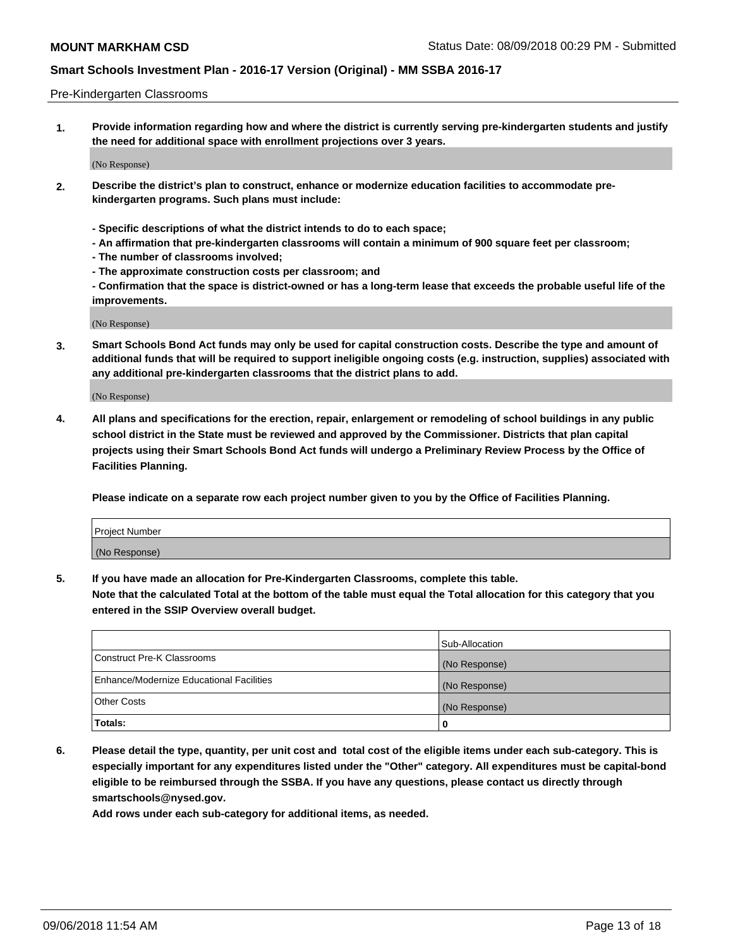#### Pre-Kindergarten Classrooms

**1. Provide information regarding how and where the district is currently serving pre-kindergarten students and justify the need for additional space with enrollment projections over 3 years.**

(No Response)

- **2. Describe the district's plan to construct, enhance or modernize education facilities to accommodate prekindergarten programs. Such plans must include:**
	- **Specific descriptions of what the district intends to do to each space;**
	- **An affirmation that pre-kindergarten classrooms will contain a minimum of 900 square feet per classroom;**
	- **The number of classrooms involved;**
	- **The approximate construction costs per classroom; and**
	- **Confirmation that the space is district-owned or has a long-term lease that exceeds the probable useful life of the improvements.**

(No Response)

**3. Smart Schools Bond Act funds may only be used for capital construction costs. Describe the type and amount of additional funds that will be required to support ineligible ongoing costs (e.g. instruction, supplies) associated with any additional pre-kindergarten classrooms that the district plans to add.**

(No Response)

**4. All plans and specifications for the erection, repair, enlargement or remodeling of school buildings in any public school district in the State must be reviewed and approved by the Commissioner. Districts that plan capital projects using their Smart Schools Bond Act funds will undergo a Preliminary Review Process by the Office of Facilities Planning.**

**Please indicate on a separate row each project number given to you by the Office of Facilities Planning.**

| Project Number |  |
|----------------|--|
| (No Response)  |  |
|                |  |

**5. If you have made an allocation for Pre-Kindergarten Classrooms, complete this table.**

**Note that the calculated Total at the bottom of the table must equal the Total allocation for this category that you entered in the SSIP Overview overall budget.**

|                                          | Sub-Allocation |
|------------------------------------------|----------------|
| Construct Pre-K Classrooms               | (No Response)  |
| Enhance/Modernize Educational Facilities | (No Response)  |
| <b>Other Costs</b>                       | (No Response)  |
| Totals:                                  | 0              |

**6. Please detail the type, quantity, per unit cost and total cost of the eligible items under each sub-category. This is especially important for any expenditures listed under the "Other" category. All expenditures must be capital-bond eligible to be reimbursed through the SSBA. If you have any questions, please contact us directly through smartschools@nysed.gov.**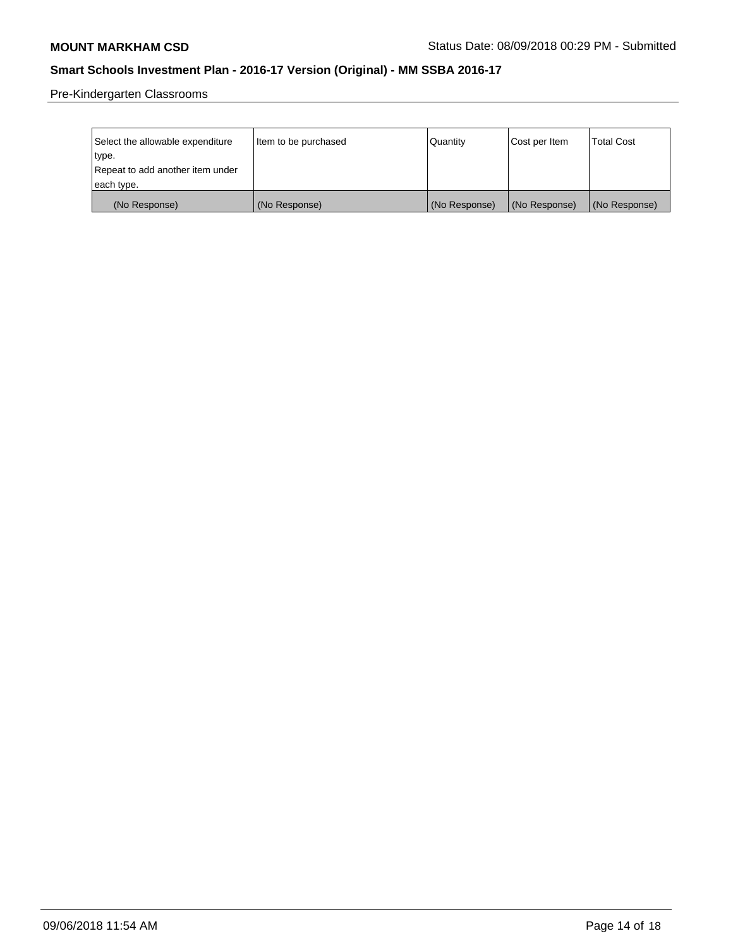Pre-Kindergarten Classrooms

| Select the allowable expenditure | Item to be purchased | Quantity      | Cost per Item | <b>Total Cost</b> |
|----------------------------------|----------------------|---------------|---------------|-------------------|
| type.                            |                      |               |               |                   |
| Repeat to add another item under |                      |               |               |                   |
| each type.                       |                      |               |               |                   |
| (No Response)                    | (No Response)        | (No Response) | (No Response) | (No Response)     |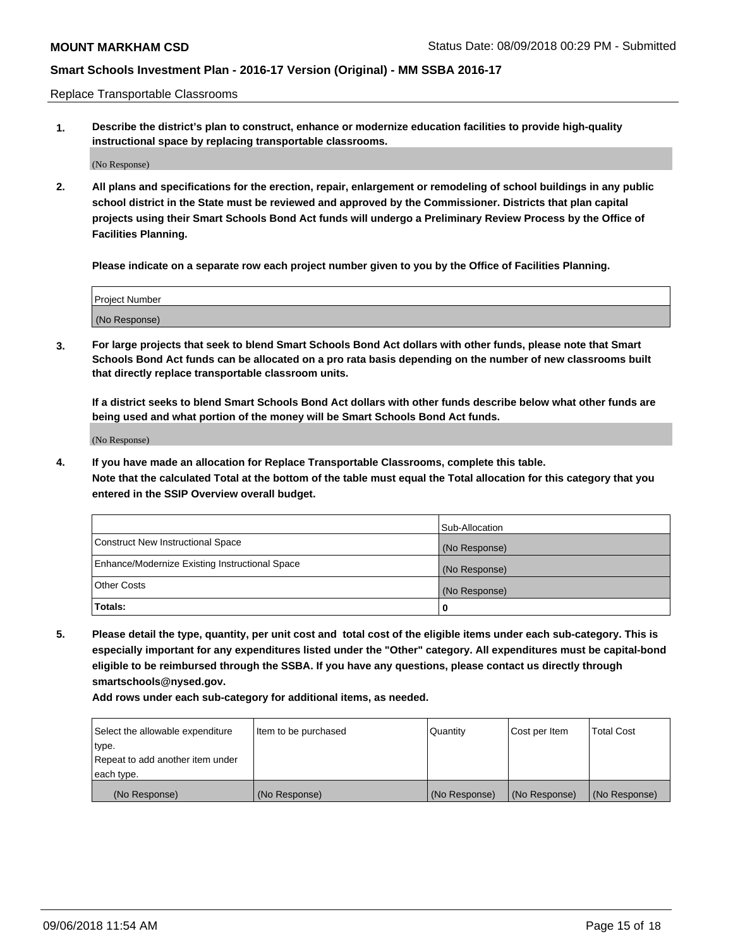Replace Transportable Classrooms

**1. Describe the district's plan to construct, enhance or modernize education facilities to provide high-quality instructional space by replacing transportable classrooms.**

(No Response)

**2. All plans and specifications for the erection, repair, enlargement or remodeling of school buildings in any public school district in the State must be reviewed and approved by the Commissioner. Districts that plan capital projects using their Smart Schools Bond Act funds will undergo a Preliminary Review Process by the Office of Facilities Planning.**

**Please indicate on a separate row each project number given to you by the Office of Facilities Planning.**

| Project Number |  |
|----------------|--|
|                |  |
|                |  |
|                |  |
|                |  |
| (No Response)  |  |
|                |  |
|                |  |
|                |  |

**3. For large projects that seek to blend Smart Schools Bond Act dollars with other funds, please note that Smart Schools Bond Act funds can be allocated on a pro rata basis depending on the number of new classrooms built that directly replace transportable classroom units.**

**If a district seeks to blend Smart Schools Bond Act dollars with other funds describe below what other funds are being used and what portion of the money will be Smart Schools Bond Act funds.**

(No Response)

**4. If you have made an allocation for Replace Transportable Classrooms, complete this table. Note that the calculated Total at the bottom of the table must equal the Total allocation for this category that you entered in the SSIP Overview overall budget.**

|                                                | Sub-Allocation |
|------------------------------------------------|----------------|
| Construct New Instructional Space              | (No Response)  |
| Enhance/Modernize Existing Instructional Space | (No Response)  |
| <b>Other Costs</b>                             | (No Response)  |
| Totals:                                        | 0              |

**5. Please detail the type, quantity, per unit cost and total cost of the eligible items under each sub-category. This is especially important for any expenditures listed under the "Other" category. All expenditures must be capital-bond eligible to be reimbursed through the SSBA. If you have any questions, please contact us directly through smartschools@nysed.gov.**

| Select the allowable expenditure | Item to be purchased | l Quantitv    | Cost per Item | <b>Total Cost</b> |
|----------------------------------|----------------------|---------------|---------------|-------------------|
| type.                            |                      |               |               |                   |
| Repeat to add another item under |                      |               |               |                   |
| each type.                       |                      |               |               |                   |
| (No Response)                    | (No Response)        | (No Response) | (No Response) | (No Response)     |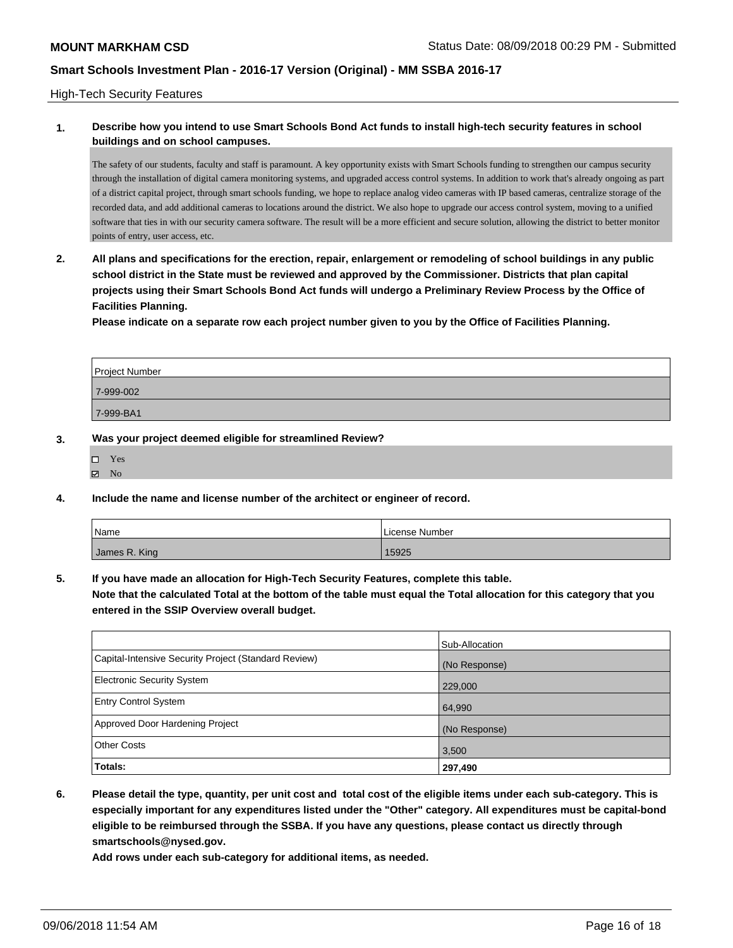### High-Tech Security Features

## **1. Describe how you intend to use Smart Schools Bond Act funds to install high-tech security features in school buildings and on school campuses.**

The safety of our students, faculty and staff is paramount. A key opportunity exists with Smart Schools funding to strengthen our campus security through the installation of digital camera monitoring systems, and upgraded access control systems. In addition to work that's already ongoing as part of a district capital project, through smart schools funding, we hope to replace analog video cameras with IP based cameras, centralize storage of the recorded data, and add additional cameras to locations around the district. We also hope to upgrade our access control system, moving to a unified software that ties in with our security camera software. The result will be a more efficient and secure solution, allowing the district to better monitor points of entry, user access, etc.

**2. All plans and specifications for the erection, repair, enlargement or remodeling of school buildings in any public school district in the State must be reviewed and approved by the Commissioner. Districts that plan capital projects using their Smart Schools Bond Act funds will undergo a Preliminary Review Process by the Office of Facilities Planning.** 

**Please indicate on a separate row each project number given to you by the Office of Facilities Planning.**

| Project Number |  |
|----------------|--|
| 7-999-002      |  |
| 7-999-BA1      |  |

- **3. Was your project deemed eligible for streamlined Review?**
	- Yes  $\boxtimes$  No
- **4. Include the name and license number of the architect or engineer of record.**

| Name          | License Number |
|---------------|----------------|
| James R. King | 15925          |

**5. If you have made an allocation for High-Tech Security Features, complete this table.**

**Note that the calculated Total at the bottom of the table must equal the Total allocation for this category that you entered in the SSIP Overview overall budget.**

|                                                      | Sub-Allocation |
|------------------------------------------------------|----------------|
| Capital-Intensive Security Project (Standard Review) | (No Response)  |
| <b>Electronic Security System</b>                    | 229,000        |
| <b>Entry Control System</b>                          | 64,990         |
| Approved Door Hardening Project                      | (No Response)  |
| <b>Other Costs</b>                                   | 3,500          |
| Totals:                                              | 297,490        |

**6. Please detail the type, quantity, per unit cost and total cost of the eligible items under each sub-category. This is especially important for any expenditures listed under the "Other" category. All expenditures must be capital-bond eligible to be reimbursed through the SSBA. If you have any questions, please contact us directly through smartschools@nysed.gov.**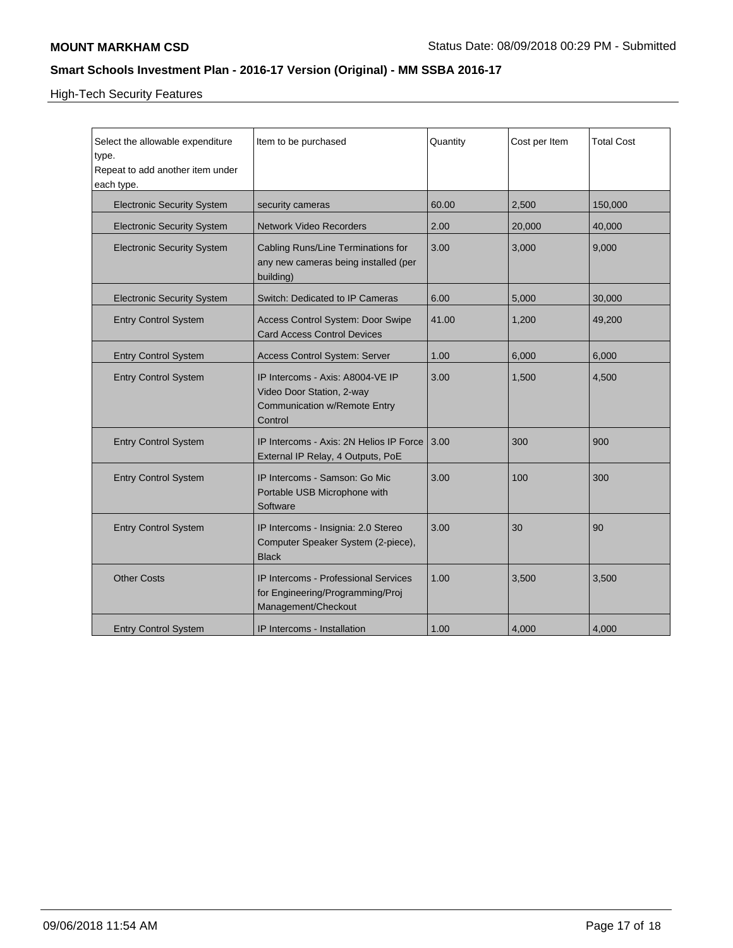High-Tech Security Features

| Select the allowable expenditure<br>type.<br>Repeat to add another item under<br>each type. | Item to be purchased                                                                                            | Quantity | Cost per Item | <b>Total Cost</b> |
|---------------------------------------------------------------------------------------------|-----------------------------------------------------------------------------------------------------------------|----------|---------------|-------------------|
| <b>Electronic Security System</b>                                                           | security cameras                                                                                                | 60.00    | 2,500         | 150,000           |
| <b>Electronic Security System</b>                                                           | <b>Network Video Recorders</b>                                                                                  | 2.00     | 20,000        | 40,000            |
| <b>Electronic Security System</b>                                                           | Cabling Runs/Line Terminations for<br>any new cameras being installed (per<br>building)                         | 3.00     | 3,000         | 9,000             |
| <b>Electronic Security System</b>                                                           | Switch: Dedicated to IP Cameras                                                                                 | 6.00     | 5,000         | 30,000            |
| <b>Entry Control System</b>                                                                 | Access Control System: Door Swipe<br><b>Card Access Control Devices</b>                                         | 41.00    | 1.200         | 49,200            |
| <b>Entry Control System</b>                                                                 | Access Control System: Server                                                                                   | 1.00     | 6,000         | 6,000             |
| <b>Entry Control System</b>                                                                 | IP Intercoms - Axis: A8004-VE IP<br>Video Door Station, 2-way<br><b>Communication w/Remote Entry</b><br>Control | 3.00     | 1,500         | 4,500             |
| <b>Entry Control System</b>                                                                 | IP Intercoms - Axis: 2N Helios IP Force<br>External IP Relay, 4 Outputs, PoE                                    | 3.00     | 300           | 900               |
| <b>Entry Control System</b>                                                                 | IP Intercoms - Samson: Go Mic<br>Portable USB Microphone with<br>Software                                       | 3.00     | 100           | 300               |
| <b>Entry Control System</b>                                                                 | IP Intercoms - Insignia: 2.0 Stereo<br>Computer Speaker System (2-piece),<br><b>Black</b>                       | 3.00     | 30            | 90                |
| <b>Other Costs</b>                                                                          | <b>IP Intercoms - Professional Services</b><br>for Engineering/Programming/Proj<br>Management/Checkout          | 1.00     | 3,500         | 3,500             |
| <b>Entry Control System</b>                                                                 | IP Intercoms - Installation                                                                                     | 1.00     | 4,000         | 4,000             |